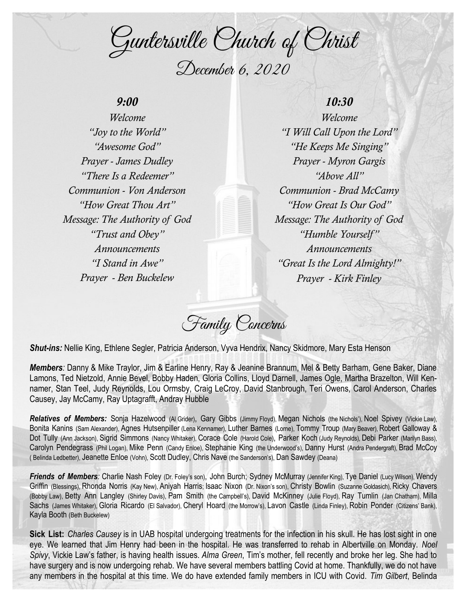Guntersville Church of Christ December 6, 2020

# *9:00*

*Welcome "Joy to the World" "Awesome God" Prayer - James Dudley "There Is a Redeemer" Communion - Von Anderson "How Great Thou Art" Message: The Authority of God "Trust and Obey" Announcements "I Stand in Awe" Prayer - Ben Buckelew*

# *10:30*

*Welcome "I Will Call Upon the Lord" "He Keeps Me Singing" Prayer - Myron Gargis "Above All" Communion - Brad McCamy "How Great Is Our God" Message: The Authority of God "Humble Yourself " Announcements "Great Is the Lord Almighty!" Prayer - Kirk Finley*

Family Concerns

*Shut-ins:* Nellie King, Ethlene Segler, Patricia Anderson, Vyva Hendrix, Nancy Skidmore, Mary Esta Henson

*Members:* Danny & Mike Traylor, Jim & Earline Henry, Ray & Jeanine Brannum, Mel & Betty Barham, Gene Baker, Diane Lamons, Ted Nietzold, Annie Bevel, Bobby Haden, Gloria Collins, Lloyd Darnell, James Ogle, Martha Brazelton, Will Kennamer, Stan Teel, Judy Reynolds, Lou Ormsby, Craig LeCroy, David Stanbrough, Teri Owens, Carol Anderson, Charles Causey, Jay McCamy, Ray Uptagrafft, Andray Hubble

*Relatives of Members:* Sonja Hazelwood (Al Grider), Gary Gibbs (Jimmy Floyd), Megan Nichols (the Nichols'), Noel Spivey (Vickie Law), Bonita Kanins (Sam Alexander), Agnes Hutsenpiller (Lena Kennamer), Luther Barnes (Lorne), Tommy Troup (Mary Beaver), Robert Galloway & Dot Tully (Ann Jackson), Sigrid Simmons (Nancy Whitaker), Corace Cole (Harold Cole), Parker Koch (Judy Reynolds), Debi Parker (Marilyn Bass), Carolyn Pendegrass (Phil Logan), Mike Penn (Candy Enloe), Stephanie King (the Underwood's), Danny Hurst (Andra Pendergraft), Brad McCoy ( Belinda Ledbetter), Jeanette Enloe (Vohn), Scott Dudley, Chris Nave (the Sanderson's), Dan Sawdey (Deana)

*Friends of Members:* Charlie Nash Foley (Dr. Foley's son), John Burch; Sydney McMurray (Jennifer King), Tye Daniel (Lucy Wilson), Wendy Griffin (Blessings), Rhonda Norris (Kay New), Aniyah Harris; Isaac Nixon (Dr. Nixon's son), Christy Bowlin (Suzanne Goldasich), Ricky Chavers (Bobby Law), Betty Ann Langley (Shirley Davis), Pam Smith (the Campbell's), David McKinney (Julie Floyd), Ray Tumlin (Jan Chatham), Milla Sachs (James Whitaker), Gloria Ricardo (El Salvador), Cheryl Hoard (the Morrow's), Lavon Castle (Linda Finley), Robin Ponder (Citizens' Bank), Kayla Booth (Beth Buckelew)

**Sick List:** *Charles Causey* is in UAB hospital undergoing treatments for the infection in his skull. He has lost sight in one eye. We learned that Jim Henry had been in the hospital. He was transferred to rehab in Albertville on Monday. *Noel Spivy*, Vickie Law's father, is having health issues. *Alma Green*, Tim's mother, fell recently and broke her leg. She had to have surgery and is now undergoing rehab. We have several members battling Covid at home. Thankfully, we do not have any members in the hospital at this time. We do have extended family members in ICU with Covid. *Tim Gilbert*, Belinda